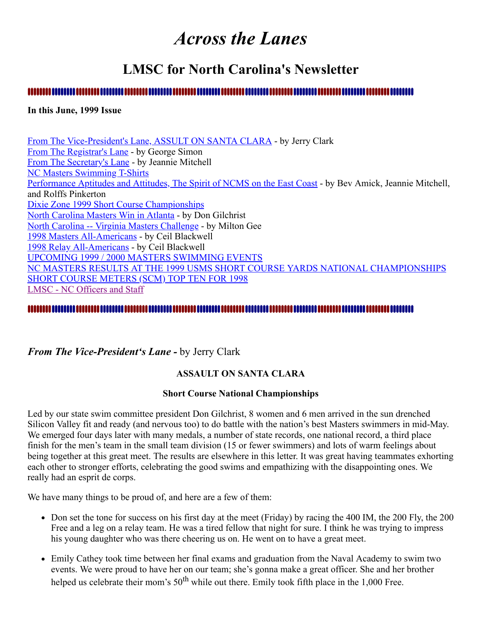# *Across the Lanes*

# **LMSC for North Carolina's Newsletter**

#### 

#### **In this June, 1999 Issue**

[From The Vice-President's Lane, ASSULT ON SANTA CLARA](#page-0-0) - by Jerry Clark [From The Registrar's Lane](#page-2-0) - by George Simon [From The Secretary's Lane](#page-2-1) - by Jeannie Mitchell [NC Masters Swimming T-Shirts](#page-4-0) [Performance Aptitudes and Attitudes, The Spirit of NCMS on the East Coast](#page-4-1) - by Bev Amick, Jeannie Mitchell, and Rolffs Pinkerton [Dixie Zone 1999 Short Course Championships](#page-6-0) [North Carolina Masters Win in Atlanta](#page-6-1) - by Don Gilchrist [North Carolina -- Virginia Masters Challenge](#page-7-0) - by Milton Gee [1998 Masters All-Americans](#page-7-1) - by Ceil Blackwell [1998 Relay All-Americans](#page-7-2) - by Ceil Blackwell [UPCOMING 1999 / 2000 MASTERS SWIMMING EVENTS](#page-8-0) [NC MASTERS RESULTS AT THE 1999 USMS SHORT COURSE YARDS NATIONAL CHAMPIONSHIPS](#page-9-0) [SHORT COURSE METERS \(SCM\) TOP TEN FOR 1998](#page-10-0) [LMSC - NC Officers and Staff](#page-11-0)

#### <span id="page-0-0"></span>*From The Vice-President's Lane -* by Jerry Clark

#### **ASSAULT ON SANTA CLARA**

#### **Short Course National Championships**

Led by our state swim committee president Don Gilchrist, 8 women and 6 men arrived in the sun drenched Silicon Valley fit and ready (and nervous too) to do battle with the nation's best Masters swimmers in mid-May. We emerged four days later with many medals, a number of state records, one national record, a third place finish for the men's team in the small team division (15 or fewer swimmers) and lots of warm feelings about being together at this great meet. The results are elsewhere in this letter. It was great having teammates exhorting each other to stronger efforts, celebrating the good swims and empathizing with the disappointing ones. We really had an esprit de corps.

We have many things to be proud of, and here are a few of them:

- Don set the tone for success on his first day at the meet (Friday) by racing the 400 IM, the 200 Fly, the 200 Free and a leg on a relay team. He was a tired fellow that night for sure. I think he was trying to impress his young daughter who was there cheering us on. He went on to have a great meet.
- Emily Cathey took time between her final exams and graduation from the Naval Academy to swim two events. We were proud to have her on our team; she's gonna make a great officer. She and her brother helped us celebrate their mom's  $50<sup>th</sup>$  while out there. Emily took fifth place in the 1,000 Free.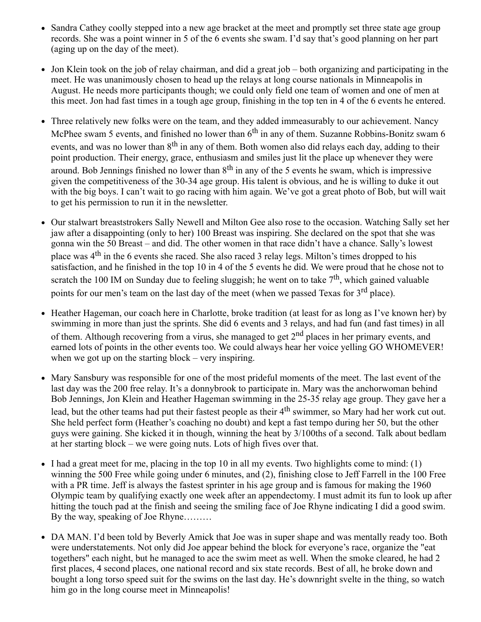- Sandra Cathey coolly stepped into a new age bracket at the meet and promptly set three state age group records. She was a point winner in 5 of the 6 events she swam. I'd say that's good planning on her part (aging up on the day of the meet).
- Jon Klein took on the job of relay chairman, and did a great job both organizing and participating in the meet. He was unanimously chosen to head up the relays at long course nationals in Minneapolis in August. He needs more participants though; we could only field one team of women and one of men at this meet. Jon had fast times in a tough age group, finishing in the top ten in 4 of the 6 events he entered.
- Three relatively new folks were on the team, and they added immeasurably to our achievement. Nancy McPhee swam 5 events, and finished no lower than  $6<sup>th</sup>$  in any of them. Suzanne Robbins-Bonitz swam 6 events, and was no lower than 8<sup>th</sup> in any of them. Both women also did relays each day, adding to their point production. Their energy, grace, enthusiasm and smiles just lit the place up whenever they were around. Bob Jennings finished no lower than  $8<sup>th</sup>$  in any of the 5 events he swam, which is impressive given the competitiveness of the 30-34 age group. His talent is obvious, and he is willing to duke it out with the big boys. I can't wait to go racing with him again. We've got a great photo of Bob, but will wait to get his permission to run it in the newsletter.
- Our stalwart breaststrokers Sally Newell and Milton Gee also rose to the occasion. Watching Sally set her jaw after a disappointing (only to her) 100 Breast was inspiring. She declared on the spot that she was gonna win the 50 Breast – and did. The other women in that race didn't have a chance. Sally's lowest place was 4<sup>th</sup> in the 6 events she raced. She also raced 3 relay legs. Milton's times dropped to his satisfaction, and he finished in the top 10 in 4 of the 5 events he did. We were proud that he chose not to scratch the 100 IM on Sunday due to feeling sluggish; he went on to take  $7<sup>th</sup>$ , which gained valuable points for our men's team on the last day of the meet (when we passed Texas for 3<sup>rd</sup> place).
- Heather Hageman, our coach here in Charlotte, broke tradition (at least for as long as I've known her) by swimming in more than just the sprints. She did 6 events and 3 relays, and had fun (and fast times) in all of them. Although recovering from a virus, she managed to get 2<sup>nd</sup> places in her primary events, and earned lots of points in the other events too. We could always hear her voice yelling GO WHOMEVER! when we got up on the starting block – very inspiring.
- Mary Sansbury was responsible for one of the most prideful moments of the meet. The last event of the last day was the 200 free relay. It's a donnybrook to participate in. Mary was the anchorwoman behind Bob Jennings, Jon Klein and Heather Hageman swimming in the 25-35 relay age group. They gave her a lead, but the other teams had put their fastest people as their 4<sup>th</sup> swimmer, so Mary had her work cut out. She held perfect form (Heather's coaching no doubt) and kept a fast tempo during her 50, but the other guys were gaining. She kicked it in though, winning the heat by 3/100ths of a second. Talk about bedlam at her starting block – we were going nuts. Lots of high fives over that.
- I had a great meet for me, placing in the top 10 in all my events. Two highlights come to mind:  $(1)$ winning the 500 Free while going under 6 minutes, and (2), finishing close to Jeff Farrell in the 100 Free with a PR time. Jeff is always the fastest sprinter in his age group and is famous for making the 1960 Olympic team by qualifying exactly one week after an appendectomy. I must admit its fun to look up after hitting the touch pad at the finish and seeing the smiling face of Joe Rhyne indicating I did a good swim. By the way, speaking of Joe Rhyne………
- DA MAN. I'd been told by Beverly Amick that Joe was in super shape and was mentally ready too. Both were understatements. Not only did Joe appear behind the block for everyone's race, organize the "eat togethers" each night, but he managed to ace the swim meet as well. When the smoke cleared, he had 2 first places, 4 second places, one national record and six state records. Best of all, he broke down and bought a long torso speed suit for the swims on the last day. He's downright svelte in the thing, so watch him go in the long course meet in Minneapolis!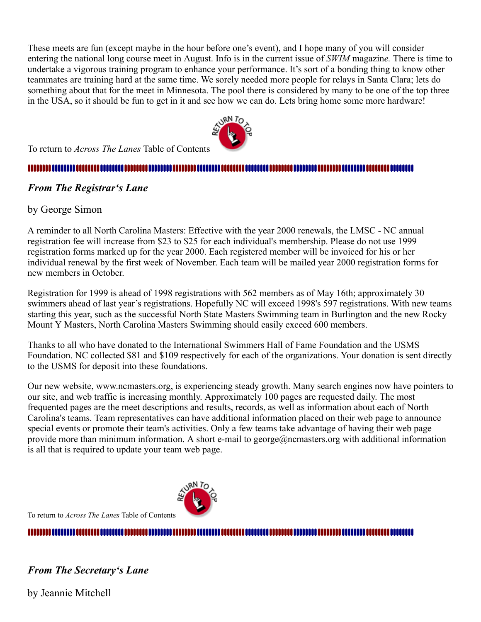These meets are fun (except maybe in the hour before one's event), and I hope many of you will consider entering the national long course meet in August. Info is in the current issue of *SWIM* magazin*e.* There is time to undertake a vigorous training program to enhance your performance. It's sort of a bonding thing to know other teammates are training hard at the same time. We sorely needed more people for relays in Santa Clara; lets do something about that for the meet in Minnesota. The pool there is considered by many to be one of the top three in the USA, so it should be fun to get in it and see how we can do. Lets bring home some more hardware!



#### 

#### <span id="page-2-0"></span>*From The Registrar's Lane*

#### by George Simon

A reminder to all North Carolina Masters: Effective with the year 2000 renewals, the LMSC - NC annual registration fee will increase from \$23 to \$25 for each individual's membership. Please do not use 1999 registration forms marked up for the year 2000. Each registered member will be invoiced for his or her individual renewal by the first week of November. Each team will be mailed year 2000 registration forms for new members in October.

Registration for 1999 is ahead of 1998 registrations with 562 members as of May 16th; approximately 30 swimmers ahead of last year's registrations. Hopefully NC will exceed 1998's 597 registrations. With new teams starting this year, such as the successful North State Masters Swimming team in Burlington and the new Rocky Mount Y Masters, North Carolina Masters Swimming should easily exceed 600 members.

Thanks to all who have donated to the International Swimmers Hall of Fame Foundation and the USMS Foundation. NC collected \$81 and \$109 respectively for each of the organizations. Your donation is sent directly to the USMS for deposit into these foundations.

Our new website, www.ncmasters.org, is experiencing steady growth. Many search engines now have pointers to our site, and web traffic is increasing monthly. Approximately 100 pages are requested daily. The most frequented pages are the meet descriptions and results, records, as well as information about each of North Carolina's teams. Team representatives can have additional information placed on their web page to announce special events or promote their team's activities. Only a few teams take advantage of having their web page provide more than minimum information. A short e-mail to george@ncmasters.org with additional information is all that is required to update your team web page.



To return to *Across The Lanes* Table of Contents

#### 

<span id="page-2-1"></span>*From The Secretary's Lane*

by Jeannie Mitchell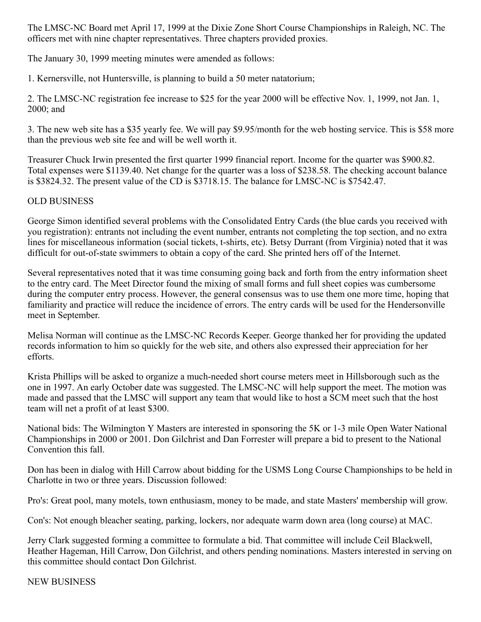The LMSC-NC Board met April 17, 1999 at the Dixie Zone Short Course Championships in Raleigh, NC. The officers met with nine chapter representatives. Three chapters provided proxies.

The January 30, 1999 meeting minutes were amended as follows:

1. Kernersville, not Huntersville, is planning to build a 50 meter natatorium;

2. The LMSC-NC registration fee increase to \$25 for the year 2000 will be effective Nov. 1, 1999, not Jan. 1, 2000; and

3. The new web site has a \$35 yearly fee. We will pay \$9.95/month for the web hosting service. This is \$58 more than the previous web site fee and will be well worth it.

Treasurer Chuck Irwin presented the first quarter 1999 financial report. Income for the quarter was \$900.82. Total expenses were \$1139.40. Net change for the quarter was a loss of \$238.58. The checking account balance is \$3824.32. The present value of the CD is \$3718.15. The balance for LMSC-NC is \$7542.47.

#### OLD BUSINESS

George Simon identified several problems with the Consolidated Entry Cards (the blue cards you received with you registration): entrants not including the event number, entrants not completing the top section, and no extra lines for miscellaneous information (social tickets, t-shirts, etc). Betsy Durrant (from Virginia) noted that it was difficult for out-of-state swimmers to obtain a copy of the card. She printed hers off of the Internet.

Several representatives noted that it was time consuming going back and forth from the entry information sheet to the entry card. The Meet Director found the mixing of small forms and full sheet copies was cumbersome during the computer entry process. However, the general consensus was to use them one more time, hoping that familiarity and practice will reduce the incidence of errors. The entry cards will be used for the Hendersonville meet in September.

Melisa Norman will continue as the LMSC-NC Records Keeper. George thanked her for providing the updated records information to him so quickly for the web site, and others also expressed their appreciation for her efforts.

Krista Phillips will be asked to organize a much-needed short course meters meet in Hillsborough such as the one in 1997. An early October date was suggested. The LMSC-NC will help support the meet. The motion was made and passed that the LMSC will support any team that would like to host a SCM meet such that the host team will net a profit of at least \$300.

National bids: The Wilmington Y Masters are interested in sponsoring the 5K or 1-3 mile Open Water National Championships in 2000 or 2001. Don Gilchrist and Dan Forrester will prepare a bid to present to the National Convention this fall.

Don has been in dialog with Hill Carrow about bidding for the USMS Long Course Championships to be held in Charlotte in two or three years. Discussion followed:

Pro's: Great pool, many motels, town enthusiasm, money to be made, and state Masters' membership will grow.

Con's: Not enough bleacher seating, parking, lockers, nor adequate warm down area (long course) at MAC.

Jerry Clark suggested forming a committee to formulate a bid. That committee will include Ceil Blackwell, Heather Hageman, Hill Carrow, Don Gilchrist, and others pending nominations. Masters interested in serving on this committee should contact Don Gilchrist.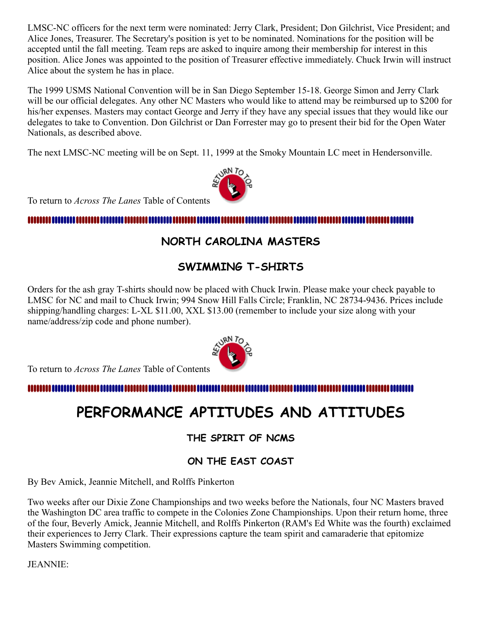LMSC-NC officers for the next term were nominated: Jerry Clark, President; Don Gilchrist, Vice President; and Alice Jones, Treasurer. The Secretary's position is yet to be nominated. Nominations for the position will be accepted until the fall meeting. Team reps are asked to inquire among their membership for interest in this position. Alice Jones was appointed to the position of Treasurer effective immediately. Chuck Irwin will instruct Alice about the system he has in place.

The 1999 USMS National Convention will be in San Diego September 15-18. George Simon and Jerry Clark will be our official delegates. Any other NC Masters who would like to attend may be reimbursed up to \$200 for his/her expenses. Masters may contact George and Jerry if they have any special issues that they would like our delegates to take to Convention. Don Gilchrist or Dan Forrester may go to present their bid for the Open Water Nationals, as described above.

The next LMSC-NC meeting will be on Sept. 11, 1999 at the Smoky Mountain LC meet in Hendersonville.



To return to *Across The Lanes* Table of Contents

#### <span id="page-4-0"></span>11111111111

## **NORTH CAROLINA MASTERS**

### **SWIMMING T-SHIRTS**

Orders for the ash gray T-shirts should now be placed with Chuck Irwin. Please make your check payable to LMSC for NC and mail to Chuck Irwin; 994 Snow Hill Falls Circle; Franklin, NC 28734-9436. Prices include shipping/handling charges: L-XL \$11.00, XXL \$13.00 (remember to include your size along with your name/address/zip code and phone number).

To return to *Across The Lanes* Table of Contents

<span id="page-4-1"></span>m

# **PERFORMANCE APTITUDES AND ATTITUDES**

**THE SPIRIT OF NCMS**

**ON THE EAST COAST**

By Bev Amick, Jeannie Mitchell, and Rolffs Pinkerton

Two weeks after our Dixie Zone Championships and two weeks before the Nationals, four NC Masters braved the Washington DC area traffic to compete in the Colonies Zone Championships. Upon their return home, three of the four, Beverly Amick, Jeannie Mitchell, and Rolffs Pinkerton (RAM's Ed White was the fourth) exclaimed their experiences to Jerry Clark. Their expressions capture the team spirit and camaraderie that epitomize Masters Swimming competition.

JEANNIE:

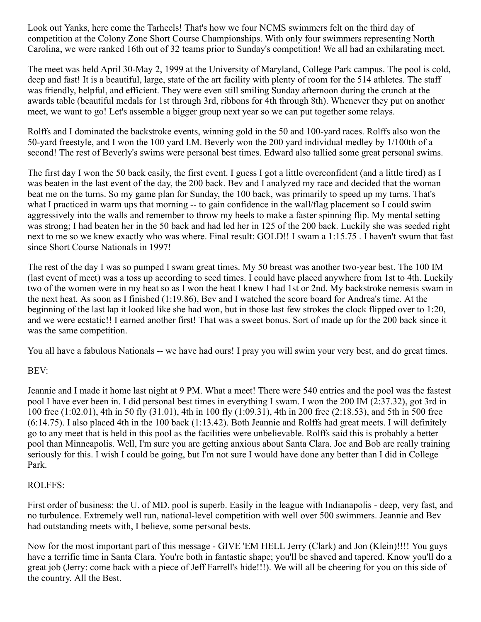Look out Yanks, here come the Tarheels! That's how we four NCMS swimmers felt on the third day of competition at the Colony Zone Short Course Championships. With only four swimmers representing North Carolina, we were ranked 16th out of 32 teams prior to Sunday's competition! We all had an exhilarating meet.

The meet was held April 30-May 2, 1999 at the University of Maryland, College Park campus. The pool is cold, deep and fast! It is a beautiful, large, state of the art facility with plenty of room for the 514 athletes. The staff was friendly, helpful, and efficient. They were even still smiling Sunday afternoon during the crunch at the awards table (beautiful medals for 1st through 3rd, ribbons for 4th through 8th). Whenever they put on another meet, we want to go! Let's assemble a bigger group next year so we can put together some relays.

Rolffs and I dominated the backstroke events, winning gold in the 50 and 100-yard races. Rolffs also won the 50-yard freestyle, and I won the 100 yard I.M. Beverly won the 200 yard individual medley by 1/100th of a second! The rest of Beverly's swims were personal best times. Edward also tallied some great personal swims.

The first day I won the 50 back easily, the first event. I guess I got a little overconfident (and a little tired) as I was beaten in the last event of the day, the 200 back. Bev and I analyzed my race and decided that the woman beat me on the turns. So my game plan for Sunday, the 100 back, was primarily to speed up my turns. That's what I practiced in warm ups that morning -- to gain confidence in the wall/flag placement so I could swim aggressively into the walls and remember to throw my heels to make a faster spinning flip. My mental setting was strong; I had beaten her in the 50 back and had led her in 125 of the 200 back. Luckily she was seeded right next to me so we knew exactly who was where. Final result: GOLD!! I swam a 1:15.75 . I haven't swum that fast since Short Course Nationals in 1997!

The rest of the day I was so pumped I swam great times. My 50 breast was another two-year best. The 100 IM (last event of meet) was a toss up according to seed times. I could have placed anywhere from 1st to 4th. Luckily two of the women were in my heat so as I won the heat I knew I had 1st or 2nd. My backstroke nemesis swam in the next heat. As soon as I finished (1:19.86), Bev and I watched the score board for Andrea's time. At the beginning of the last lap it looked like she had won, but in those last few strokes the clock flipped over to 1:20, and we were ecstatic!! I earned another first! That was a sweet bonus. Sort of made up for the 200 back since it was the same competition.

You all have a fabulous Nationals -- we have had ours! I pray you will swim your very best, and do great times.

#### BEV:

Jeannie and I made it home last night at 9 PM. What a meet! There were 540 entries and the pool was the fastest pool I have ever been in. I did personal best times in everything I swam. I won the 200 IM (2:37.32), got 3rd in 100 free (1:02.01), 4th in 50 fly (31.01), 4th in 100 fly (1:09.31), 4th in 200 free (2:18.53), and 5th in 500 free (6:14.75). I also placed 4th in the 100 back (1:13.42). Both Jeannie and Rolffs had great meets. I will definitely go to any meet that is held in this pool as the facilities were unbelievable. Rolffs said this is probably a better pool than Minneapolis. Well, I'm sure you are getting anxious about Santa Clara. Joe and Bob are really training seriously for this. I wish I could be going, but I'm not sure I would have done any better than I did in College Park.

#### ROLFFS:

First order of business: the U. of MD. pool is superb. Easily in the league with Indianapolis - deep, very fast, and no turbulence. Extremely well run, national-level competition with well over 500 swimmers. Jeannie and Bev had outstanding meets with, I believe, some personal bests.

Now for the most important part of this message - GIVE 'EM HELL Jerry (Clark) and Jon (Klein)!!!! You guys have a terrific time in Santa Clara. You're both in fantastic shape; you'll be shaved and tapered. Know you'll do a great job (Jerry: come back with a piece of Jeff Farrell's hide!!!). We will all be cheering for you on this side of the country. All the Best.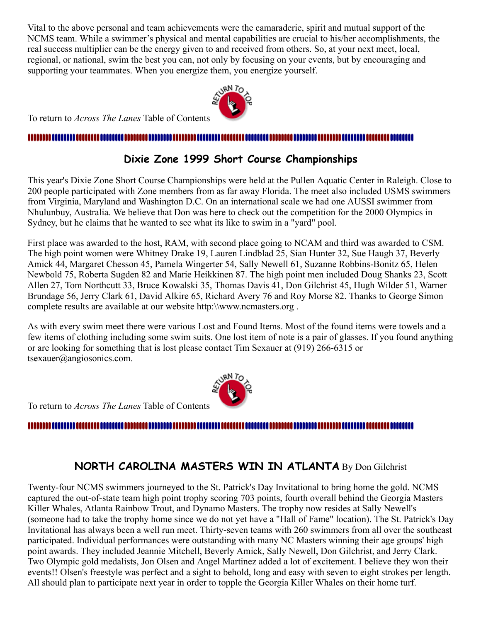Vital to the above personal and team achievements were the camaraderie, spirit and mutual support of the NCMS team. While a swimmer's physical and mental capabilities are crucial to his/her accomplishments, the real success multiplier can be the energy given to and received from others. So, at your next meet, local, regional, or national, swim the best you can, not only by focusing on your events, but by encouraging and supporting your teammates. When you energize them, you energize yourself.



To return to *Across The Lanes* Table of Contents

#### <span id="page-6-0"></span>.............................

#### **Dixie Zone 1999 Short Course Championships**

This year's Dixie Zone Short Course Championships were held at the Pullen Aquatic Center in Raleigh. Close to 200 people participated with Zone members from as far away Florida. The meet also included USMS swimmers from Virginia, Maryland and Washington D.C. On an international scale we had one AUSSI swimmer from Nhulunbuy, Australia. We believe that Don was here to check out the competition for the 2000 Olympics in Sydney, but he claims that he wanted to see what its like to swim in a "yard" pool.

First place was awarded to the host, RAM, with second place going to NCAM and third was awarded to CSM. The high point women were Whitney Drake 19, Lauren Lindblad 25, Sian Hunter 32, Sue Haugh 37, Beverly Amick 44, Margaret Chesson 45, Pamela Wingerter 54, Sally Newell 61, Suzanne Robbins-Bonitz 65, Helen Newbold 75, Roberta Sugden 82 and Marie Heikkinen 87. The high point men included Doug Shanks 23, Scott Allen 27, Tom Northcutt 33, Bruce Kowalski 35, Thomas Davis 41, Don Gilchrist 45, Hugh Wilder 51, Warner Brundage 56, Jerry Clark 61, David Alkire 65, Richard Avery 76 and Roy Morse 82. Thanks to George Simon complete results are available at our website http:\\www.ncmasters.org .

As with every swim meet there were various Lost and Found Items. Most of the found items were towels and a few items of clothing including some swim suits. One lost item of note is a pair of glasses. If you found anything or are looking for something that is lost please contact Tim Sexauer at (919) 266-6315 or tsexauer@angiosonics.com.



# 

#### **NORTH CAROLINA MASTERS WIN IN ATLANTA** By Don Gilchrist

<span id="page-6-1"></span>Twenty-four NCMS swimmers journeyed to the St. Patrick's Day Invitational to bring home the gold. NCMS captured the out-of-state team high point trophy scoring 703 points, fourth overall behind the Georgia Masters Killer Whales, Atlanta Rainbow Trout, and Dynamo Masters. The trophy now resides at Sally Newell's (someone had to take the trophy home since we do not yet have a "Hall of Fame" location). The St. Patrick's Day Invitational has always been a well run meet. Thirty-seven teams with 260 swimmers from all over the southeast participated. Individual performances were outstanding with many NC Masters winning their age groups' high point awards. They included Jeannie Mitchell, Beverly Amick, Sally Newell, Don Gilchrist, and Jerry Clark. Two Olympic gold medalists, Jon Olsen and Angel Martinez added a lot of excitement. I believe they won their events!! Olsen's freestyle was perfect and a sight to behold, long and easy with seven to eight strokes per length. All should plan to participate next year in order to topple the Georgia Killer Whales on their home turf.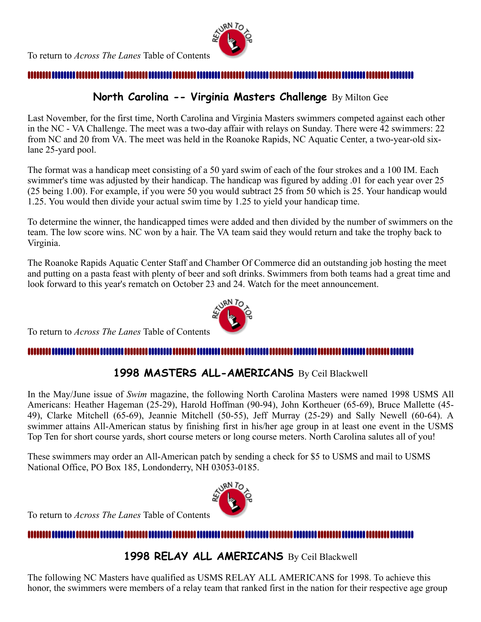

#### **North Carolina -- Virginia Masters Challenge** By Milton Gee

<span id="page-7-0"></span>Last November, for the first time, North Carolina and Virginia Masters swimmers competed against each other in the NC - VA Challenge. The meet was a two-day affair with relays on Sunday. There were 42 swimmers: 22 from NC and 20 from VA. The meet was held in the Roanoke Rapids, NC Aquatic Center, a two-year-old sixlane 25-yard pool.

The format was a handicap meet consisting of a 50 yard swim of each of the four strokes and a 100 IM. Each swimmer's time was adjusted by their handicap. The handicap was figured by adding .01 for each year over 25 (25 being 1.00). For example, if you were 50 you would subtract 25 from 50 which is 25. Your handicap would 1.25. You would then divide your actual swim time by 1.25 to yield your handicap time.

To determine the winner, the handicapped times were added and then divided by the number of swimmers on the team. The low score wins. NC won by a hair. The VA team said they would return and take the trophy back to Virginia.

The Roanoke Rapids Aquatic Center Staff and Chamber Of Commerce did an outstanding job hosting the meet and putting on a pasta feast with plenty of beer and soft drinks. Swimmers from both teams had a great time and look forward to this year's rematch on October 23 and 24. Watch for the meet announcement.



To return to *Across The Lanes* Table of Contents

#### <span id="page-7-1"></span>**MININ** <u>n seseese seseese teteitet teteitet title</u>

#### **1998 MASTERS ALL-AMERICANS** By Ceil Blackwell

In the May/June issue of *Swim* magazine, the following North Carolina Masters were named 1998 USMS All Americans: Heather Hageman (25-29), Harold Hoffman (90-94), John Kortheuer (65-69), Bruce Mallette (45- 49), Clarke Mitchell (65-69), Jeannie Mitchell (50-55), Jeff Murray (25-29) and Sally Newell (60-64). A swimmer attains All-American status by finishing first in his/her age group in at least one event in the USMS Top Ten for short course yards, short course meters or long course meters. North Carolina salutes all of you!

These swimmers may order an All-American patch by sending a check for \$5 to USMS and mail to USMS National Office, PO Box 185, Londonderry, NH 03053-0185.



To return to *Across The Lanes* Table of Contents

#### <span id="page-7-2"></span>,,,,,,,,,

**1998 RELAY ALL AMERICANS** By Ceil Blackwell

The following NC Masters have qualified as USMS RELAY ALL AMERICANS for 1998. To achieve this honor, the swimmers were members of a relay team that ranked first in the nation for their respective age group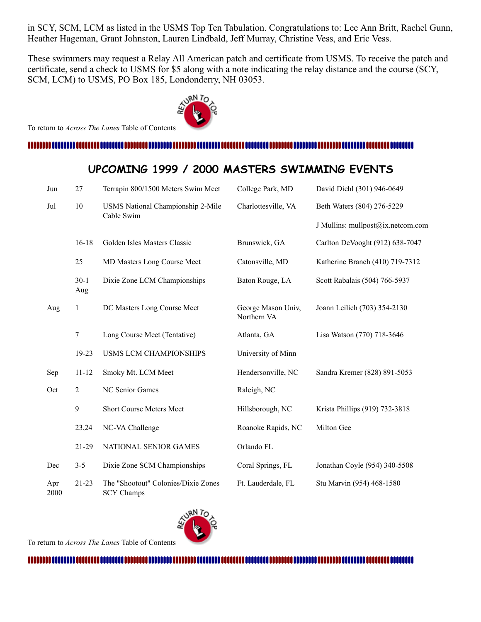in SCY, SCM, LCM as listed in the USMS Top Ten Tabulation. Congratulations to: Lee Ann Britt, Rachel Gunn, Heather Hageman, Grant Johnston, Lauren Lindbald, Jeff Murray, Christine Vess, and Eric Vess.

These swimmers may request a Relay All American patch and certificate from USMS. To receive the patch and certificate, send a check to USMS for \$5 along with a note indicating the relay distance and the course (SCY, SCM, LCM) to USMS, PO Box 185, Londonderry, NH 03053.



To return to *Across The Lanes* Table of Contents

#### 

### **UPCOMING 1999 / 2000 MASTERS SWIMMING EVENTS**

<span id="page-8-0"></span>

| Jun         | 27             | Terrapin 800/1500 Meters Swim Meet                       | College Park, MD                  | David Diehl (301) 946-0649        |
|-------------|----------------|----------------------------------------------------------|-----------------------------------|-----------------------------------|
| Jul         | $10\,$         | USMS National Championship 2-Mile<br>Cable Swim          | Charlottesville, VA               | Beth Waters (804) 276-5229        |
|             |                |                                                          |                                   | J Mullins: mullpost@ix.netcom.com |
|             | $16-18$        | Golden Isles Masters Classic                             | Brunswick, GA                     | Carlton DeVooght (912) 638-7047   |
|             | 25             | MD Masters Long Course Meet                              | Catonsville, MD                   | Katherine Branch (410) 719-7312   |
|             | $30-1$<br>Aug  | Dixie Zone LCM Championships                             | Baton Rouge, LA                   | Scott Rabalais (504) 766-5937     |
| Aug         | 1              | DC Masters Long Course Meet                              | George Mason Univ,<br>Northern VA | Joann Leilich (703) 354-2130      |
|             | $\tau$         | Long Course Meet (Tentative)                             | Atlanta, GA                       | Lisa Watson (770) 718-3646        |
|             | 19-23          | <b>USMS LCM CHAMPIONSHIPS</b>                            | University of Minn                |                                   |
| Sep         | $11 - 12$      | Smoky Mt. LCM Meet                                       | Hendersonville, NC                | Sandra Kremer (828) 891-5053      |
| Oct         | $\overline{2}$ | NC Senior Games                                          | Raleigh, NC                       |                                   |
|             | 9              | Short Course Meters Meet                                 | Hillsborough, NC                  | Krista Phillips (919) 732-3818    |
|             | 23,24          | NC-VA Challenge                                          | Roanoke Rapids, NC                | Milton Gee                        |
|             | 21-29          | NATIONAL SENIOR GAMES                                    | Orlando FL                        |                                   |
| Dec         | $3 - 5$        | Dixie Zone SCM Championships                             | Coral Springs, FL                 | Jonathan Coyle (954) 340-5508     |
| Apr<br>2000 | 21-23          | The "Shootout" Colonies/Dixie Zones<br><b>SCY Champs</b> | Ft. Lauderdale, FL                | Stu Marvin (954) 468-1580         |



To return to *Across The Lanes* Table of Contents

####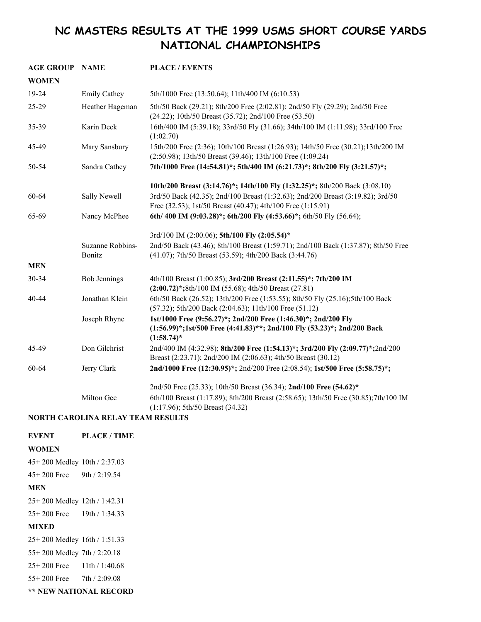## <span id="page-9-0"></span>**NC MASTERS RESULTS AT THE 1999 USMS SHORT COURSE YARDS NATIONAL CHAMPIONSHIPS**

| <b>AGE GROUP</b> | <b>NAME</b>                | <b>PLACE / EVENTS</b>                                                                                                                                      |  |
|------------------|----------------------------|------------------------------------------------------------------------------------------------------------------------------------------------------------|--|
| <b>WOMEN</b>     |                            |                                                                                                                                                            |  |
| 19-24            | <b>Emily Cathey</b>        | 5th/1000 Free (13:50.64); 11th/400 IM (6:10.53)                                                                                                            |  |
| 25-29            | Heather Hageman            | 5th/50 Back (29.21); 8th/200 Free (2:02.81); 2nd/50 Fly (29.29); 2nd/50 Free<br>(24.22); 10th/50 Breast (35.72); 2nd/100 Free (53.50)                      |  |
| 35-39            | Karin Deck                 | 16th/400 IM (5:39.18); 33rd/50 Fly (31.66); 34th/100 IM (1:11.98); 33rd/100 Free<br>(1:02.70)                                                              |  |
| 45-49            | Mary Sansbury              | 15th/200 Free (2:36); 10th/100 Breast (1:26.93); 14th/50 Free (30.21); 13th/200 IM<br>(2:50.98); 13th/50 Breast (39.46); 13th/100 Free (1:09.24)           |  |
| 50-54            | Sandra Cathey              | 7th/1000 Free (14:54.81)*; 5th/400 IM (6:21.73)*; 8th/200 Fly (3:21.57)*;                                                                                  |  |
|                  |                            | 10th/200 Breast (3:14.76)*; 14th/100 Fly (1:32.25)*; 8th/200 Back (3:08.10)                                                                                |  |
| 60-64            | Sally Newell               | 3rd/50 Back (42.35); 2nd/100 Breast (1:32.63); 2nd/200 Breast (3:19.82); 3rd/50<br>Free (32.53); 1st/50 Breast (40.47); 4th/100 Free (1:15.91)             |  |
| 65-69            | Nancy McPhee               | 6th/400 IM (9:03.28)*; 6th/200 Fly (4:53.66)*; 6th/50 Fly (56.64);                                                                                         |  |
|                  |                            | 3rd/100 IM (2:00.06); 5th/100 Fly (2:05.54)*                                                                                                               |  |
|                  | Suzanne Robbins-<br>Bonitz | 2nd/50 Back (43.46); 8th/100 Breast (1:59.71); 2nd/100 Back (1:37.87); 8th/50 Free<br>(41.07); 7th/50 Breast (53.59); 4th/200 Back (3:44.76)               |  |
| <b>MEN</b>       |                            |                                                                                                                                                            |  |
| 30-34            | <b>Bob Jennings</b>        | 4th/100 Breast (1:00.85); 3rd/200 Breast (2:11.55)*; 7th/200 IM<br>$(2:00.72)$ *;8th/100 IM (55.68); 4th/50 Breast (27.81)                                 |  |
| 40-44            | Jonathan Klein             | 6th/50 Back (26.52); 13th/200 Free (1:53.55); 8th/50 Fly (25.16);5th/100 Back<br>(57.32); 5th/200 Back (2:04.63); 11th/100 Free (51.12)                    |  |
|                  | Joseph Rhyne               | 1st/1000 Free (9:56.27)*; 2nd/200 Free (1:46.30)*; 2nd/200 Fly<br>(1:56.99)*;1st/500 Free (4:41.83)**; 2nd/100 Fly (53.23)*; 2nd/200 Back<br>$(1:58.74)^*$ |  |
| 45-49            | Don Gilchrist              | 2nd/400 IM (4:32.98); 8th/200 Free (1:54.13)*; 3rd/200 Fly (2:09.77)*;2nd/200<br>Breast (2:23.71); 2nd/200 IM (2:06.63); 4th/50 Breast (30.12)             |  |
| 60-64            | Jerry Clark                | 2nd/1000 Free (12:30.95)*; 2nd/200 Free (2:08.54); 1st/500 Free (5:58.75)*;                                                                                |  |
|                  |                            | 2nd/50 Free (25.33); 10th/50 Breast (36.34); 2nd/100 Free (54.62)*                                                                                         |  |
|                  | Milton Gee                 | 6th/100 Breast (1:17.89); 8th/200 Breast (2:58.65); 13th/50 Free (30.85);7th/100 IM<br>$(1:17.96)$ ; 5th/50 Breast (34.32)                                 |  |

#### **NORTH CAROLINA RELAY TEAM RESULTS**

**EVENT PLACE / TIME WOMEN** 45+ 200 Medley 10th / 2:37.03 45+ 200 Free 9th / 2:19.54 **MEN** 25+ 200 Medley 12th / 1:42.31 25+ 200 Free 19th / 1:34.33 **MIXED** 25+ 200 Medley 16th / 1:51.33 55+ 200 Medley 7th / 2:20.18 25+ 200 Free 11th / 1:40.68 55+ 200 Free 7th / 2:09.08

**\*\* NEW NATIONAL RECORD**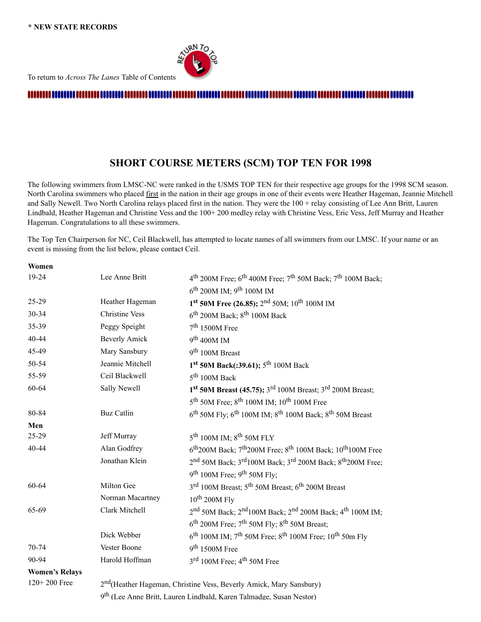

To return to *Across The Lanes* Table of Contents

#### 

#### **SHORT COURSE METERS (SCM) TOP TEN FOR 1998**

<span id="page-10-0"></span>The following swimmers from LMSC-NC were ranked in the USMS TOP TEN for their respective age groups for the 1998 SCM season. North Carolina swimmers who placed first in the nation in their age groups in one of their events were Heather Hageman, Jeannie Mitchell and Sally Newell. Two North Carolina relays placed first in the nation. They were the 100 + relay consisting of Lee Ann Britt, Lauren Lindbald, Heather Hageman and Christine Vess and the 100+ 200 medley relay with Christine Vess, Eric Vess, Jeff Murray and Heather Hageman. Congratulations to all these swimmers.

The Top Ten Chairperson for NC, Ceil Blackwell, has attempted to locate names of all swimmers from our LMSC. If your name or an event is missing from the list below, please contact Ceil.

| Women                 |                                                                                 |                                                                                                          |  |
|-----------------------|---------------------------------------------------------------------------------|----------------------------------------------------------------------------------------------------------|--|
| 19-24                 | Lee Anne Britt                                                                  | $4th$ 200M Free; 6 <sup>th</sup> 400M Free; 7 <sup>th</sup> 50M Back; 7 <sup>th</sup> 100M Back;         |  |
|                       |                                                                                 | $6^{\text{th}}$ 200M IM; 9 <sup>th</sup> 100M IM                                                         |  |
| 25-29                 | Heather Hageman                                                                 | 1st 50M Free (26.85); 2 <sup>nd</sup> 50M; 10 <sup>th</sup> 100M IM                                      |  |
| 30-34                 | <b>Christine Vess</b>                                                           | $6th$ 200M Back; $8th$ 100M Back                                                                         |  |
| 35-39                 | Peggy Speight                                                                   | $7th 1500M$ Free                                                                                         |  |
| 40-44                 | <b>Beverly Amick</b>                                                            | 9 <sup>th</sup> 400M IM                                                                                  |  |
| 45-49                 | Mary Sansbury                                                                   | 9 <sup>th</sup> 100M Breast                                                                              |  |
| 50-54                 | Jeannie Mitchell                                                                | 1 <sup>st</sup> 50M Back(:39.61); 5 <sup>th</sup> 100M Back                                              |  |
| 55-59                 | Ceil Blackwell                                                                  | $5th 100M$ Back                                                                                          |  |
| 60-64                 | Sally Newell                                                                    | $1st$ 50M Breast (45.75); $3rd$ 100M Breast; $3rd$ 200M Breast;                                          |  |
|                       |                                                                                 | 5 <sup>th</sup> 50M Free; 8 <sup>th</sup> 100M IM; 10 <sup>th</sup> 100M Free                            |  |
| 80-84                 | <b>Buz Catlin</b>                                                               | $6^{th}$ 50M Fly; $6^{th}$ 100M IM; $8^{th}$ 100M Back; $8^{th}$ 50M Breast                              |  |
| Men                   |                                                                                 |                                                                                                          |  |
| 25-29                 | Jeff Murray                                                                     | $5^{\text{th}}$ 100M IM; $8^{\text{th}}$ 50M FLY                                                         |  |
| 40-44                 | Alan Godfrey                                                                    | $6^{th}$ 200M Back; $7^{th}$ 200M Free; $8^{th}$ 100M Back; $10^{th}$ 100M Free                          |  |
|                       | Jonathan Klein                                                                  | 2nd 50M Back; 3 <sup>rd</sup> 100M Back; 3 <sup>rd</sup> 200M Back; 8 <sup>th</sup> 200M Free;           |  |
|                       |                                                                                 | $9th 100M$ Free; $9th 50M$ Fly;                                                                          |  |
| 60-64                 | Milton Gee                                                                      | 3rd 100M Breast; 5 <sup>th</sup> 50M Breast; 6 <sup>th</sup> 200M Breast                                 |  |
|                       | Norman Macartney                                                                | $10^{th}$ 200M Fly                                                                                       |  |
| 65-69                 | Clark Mitchell                                                                  | 2 <sup>nd</sup> 50M Back; 2 <sup>nd</sup> 100M Back; 2 <sup>nd</sup> 200M Back; 4 <sup>th</sup> 100M IM; |  |
|                       |                                                                                 | $6th$ 200M Free; 7 <sup>th</sup> 50M Fly; 8 <sup>th</sup> 50M Breast;                                    |  |
|                       | Dick Webber                                                                     | $6^{\text{th}}$ 100M IM; $7^{\text{th}}$ 50M Free; $8^{\text{th}}$ 100M Free; 10 <sup>th</sup> 50m Fly   |  |
| 70-74                 | Vester Boone                                                                    | $9th 1500M$ Free                                                                                         |  |
| 90-94                 | Harold Hoffman                                                                  | 3rd 100M Free; 4 <sup>th</sup> 50M Free                                                                  |  |
| <b>Women's Relays</b> |                                                                                 |                                                                                                          |  |
| 120+200 Free          | 2 <sup>nd</sup> (Heather Hageman, Christine Vess, Beverly Amick, Mary Sansbury) |                                                                                                          |  |

9<sup>th</sup> (Lee Anne Britt, Lauren Lindbald, Karen Talmadge, Susan Nestor)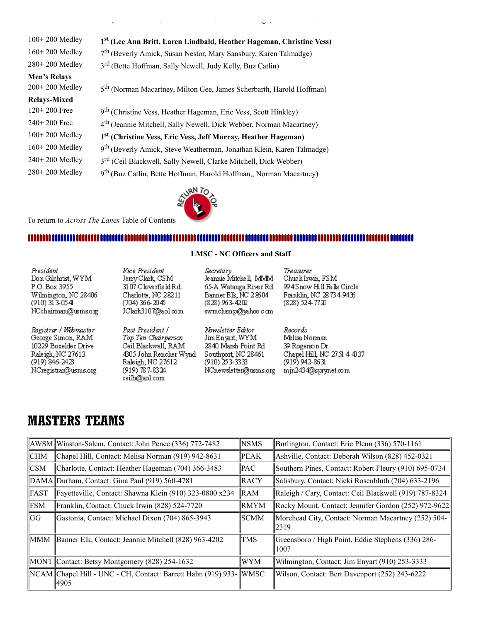| 1st (Lee Ann Britt, Laren Lindbald, Heather Hageman, Christine Vess)              |
|-----------------------------------------------------------------------------------|
| 7 <sup>th</sup> (Beverly Amick, Susan Nestor, Mary Sansbury, Karen Talmadge)      |
| 3 <sup>rd</sup> (Bette Hoffman, Sally Newell, Judy Kelly, Buz Catlin)             |
|                                                                                   |
| 5 <sup>th</sup> (Norman Macartney, Milton Gee, James Scherbarth, Harold Hoffman)  |
|                                                                                   |
| 9 <sup>th</sup> (Christine Vess, Heather Hageman, Eric Vess, Scott Hinkley)       |
| 4 <sup>th</sup> (Jeannie Mitchell, Sally Newell, Dick Webber, Norman Macartney)   |
| 1 <sup>st</sup> (Christine Vess, Eric Vess, Jeff Murray, Heather Hageman)         |
| 9 <sup>th</sup> (Beverly Amick, Steve Weatherman, Jonathan Klein, Karen Talmadge) |
| 3 <sup>rd</sup> (Ceil Blackwell, Sally Newell, Clarke Mitchell, Dick Webber)      |
| 9 <sup>th</sup> (Buz Catlin, Bette Hoffman, Harold Hoffman,, Norman Macartney)    |
|                                                                                   |

RN TO

 $\mathcal{L} = \mathcal{L} \mathcal{L} = \mathcal{L} \mathcal{L} = \mathcal{L} \mathcal{L} = \mathcal{L} \mathcal{L} \mathcal{L} = \mathcal{L} \mathcal{L} \mathcal{L} = \mathcal{L} \mathcal{L} \mathcal{L} \mathcal{L} = \mathcal{L} \mathcal{L} \mathcal{L} \mathcal{L} \mathcal{L} = \mathcal{L} \mathcal{L} \mathcal{L} \mathcal{L} \mathcal{L} \mathcal{L} \mathcal{L} \mathcal{L} \mathcal{L} \mathcal{L} \mathcal{L} \mathcal{L} \mathcal{L} \math$ 

To return to *Across The Lanes* Table of Contents

#### <span id="page-11-0"></span>

| President            |
|----------------------|
| Don Gilchrist, WYM   |
| P.O. Box 3955        |
| Wilmington, NC 28406 |
| (910) 313-0541       |
| NCchairman@usms.org  |

Registra / Webmaster George Simon, RAM 10229 Boxelder Drive Raleigh, NC 27613 (919) 846-2423 NCregistran@usms.org

Vice President Jerry Clark, CSM 3107 Cloverfield Rd. Charlotte, NC 28211<br>(704) 366-2045 JClark3107@aol.com

Past President / Top Ten Chairperson Ceil Blackwell, RAM 4305 John Rencher Wynd Raleigh, NC 27612  $(919)$  787-8324 ceilb@aol.com

**LMSC - NC Officers and Staff**

Secretary Jeannie Mitchell, MMM 65-A Watauga River Rd Banner Elk, NC 28604 (828) 963-4202 swmchamp@yahoo c om

Newsletter Editor

Jim Enyart, WYM

 $(910)$  253-3333

2840 Marsh Point Rd

Southport, NC 28461

NCnewsletter@usms.org

Treasurer Chuck Irwin, FSM 994Snow Hill Falls Circle Franklin, NC 287349436 (828) 524 77 20

Records Melisa Norman 39 Rogerson Dr. Chapel Hill, NC 2751 4 4037 (919) 942-8631 mjn2434@sprynet.com

## **MASTERS TEAMS**

|            | AWSM Winston-Salem, Contact: John Pence (336) 772-7482<br><b>NSMS</b>  |             | Burlington, Contact: Eric Plenn (336) 570-1161               |
|------------|------------------------------------------------------------------------|-------------|--------------------------------------------------------------|
| CHM        | Chapel Hill, Contact: Melisa Norman (919) 942-8631<br>$\parallel$ PEAK |             | Ashville, Contact: Deborah Wilson (828) 452-0321             |
| <b>CSM</b> | Charlotte, Contact: Heather Hageman (704) 366-3483<br>  PAC            |             | Southern Pines, Contact: Robert Fleury (910) 695-0734        |
|            | DAMA Durham, Contact: Gina Paul (919) 560-4781<br><b>IRACY</b>         |             | Salisbury, Contact: Nicki Rosenbluth (704) 633-2196          |
| FAST       | Fayetteville, Contact: Shawna Klein (910) 323-0800 x234                | <b>RAM</b>  | Raleigh / Cary, Contact: Ceil Blackwell (919) 787-8324       |
| <b>FSM</b> | Franklin, Contact: Chuck Irwin (828) 524-7720                          | ∥RMYM       | Rocky Mount, Contact: Jennifer Gordon (252) 972-9622         |
| lGG        | Gastonia, Contact: Michael Dixon (704) 865-3943                        | SCMM        | Morehead City, Contact: Norman Macartney (252) 504-<br>12319 |
| MMM        | Banner Elk, Contact: Jeannie Mitchell (828) 963-4202                   | <b>TMS</b>  | Greensboro / High Point, Eddie Stephens (336) 286-<br>1007   |
|            | MONT Contact: Betsy Montgomery (828) 254-1632                          | WYM         | Wilmington, Contact: Jim Enyart (910) 253-3333               |
|            | NCAM Chapel Hill - UNC - CH, Contact: Barrett Hahn (919) 933-<br> 4905 | <b>WMSC</b> | Wilson, Contact: Bert Davenport (252) 243-6222               |